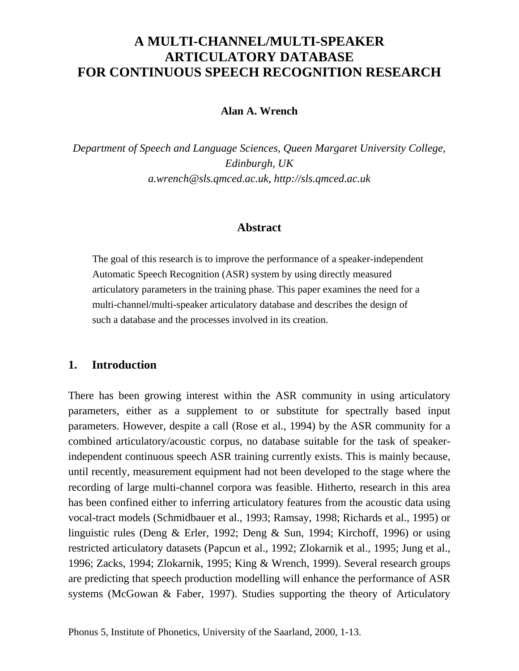# **A MULTI-CHANNEL/MULTI-SPEAKER ARTICULATORY DATABASE FOR CONTINUOUS SPEECH RECOGNITION RESEARCH**

# **Alan A. Wrench**

*Department of Speech and Language Sciences, Queen Margaret University College, Edinburgh, UK a.wrench@sls.qmced.ac.uk, http://sls.qmced.ac.uk*

# **Abstract**

The goal of this research is to improve the performance of a speaker-independent Automatic Speech Recognition (ASR) system by using directly measured articulatory parameters in the training phase. This paper examines the need for a multi-channel/multi-speaker articulatory database and describes the design of such a database and the processes involved in its creation.

## **1. Introduction**

There has been growing interest within the ASR community in using articulatory parameters, either as a supplement to or substitute for spectrally based input parameters. However, despite a call (Rose et al., 1994) by the ASR community for a combined articulatory/acoustic corpus, no database suitable for the task of speakerindependent continuous speech ASR training currently exists. This is mainly because, until recently, measurement equipment had not been developed to the stage where the recording of large multi-channel corpora was feasible. Hitherto, research in this area has been confined either to inferring articulatory features from the acoustic data using vocal-tract models (Schmidbauer et al., 1993; Ramsay, 1998; Richards et al., 1995) or linguistic rules (Deng & Erler, 1992; Deng & Sun, 1994; Kirchoff, 1996) or using restricted articulatory datasets (Papcun et al., 1992; Zlokarnik et al., 1995; Jung et al., 1996; Zacks, 1994; Zlokarnik, 1995; King & Wrench, 1999). Several research groups are predicting that speech production modelling will enhance the performance of ASR systems (McGowan & Faber, 1997). Studies supporting the theory of Articulatory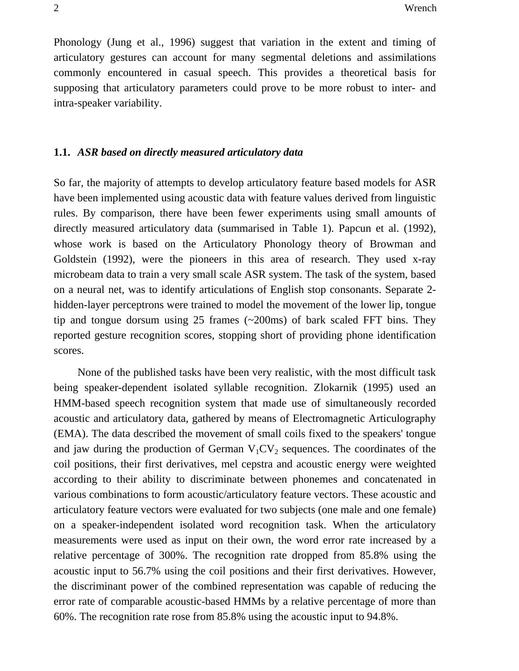Phonology (Jung et al., 1996) suggest that variation in the extent and timing of articulatory gestures can account for many segmental deletions and assimilations commonly encountered in casual speech. This provides a theoretical basis for supposing that articulatory parameters could prove to be more robust to inter- and intra-speaker variability.

#### **1.1.** *ASR based on directly measured articulatory data*

So far, the majority of attempts to develop articulatory feature based models for ASR have been implemented using acoustic data with feature values derived from linguistic rules. By comparison, there have been fewer experiments using small amounts of directly measured articulatory data (summarised in Table 1). Papcun et al. (1992), whose work is based on the Articulatory Phonology theory of Browman and Goldstein (1992), were the pioneers in this area of research. They used x-ray microbeam data to train a very small scale ASR system. The task of the system, based on a neural net, was to identify articulations of English stop consonants. Separate 2 hidden-layer perceptrons were trained to model the movement of the lower lip, tongue tip and tongue dorsum using 25 frames (~200ms) of bark scaled FFT bins. They reported gesture recognition scores, stopping short of providing phone identification scores.

None of the published tasks have been very realistic, with the most difficult task being speaker-dependent isolated syllable recognition. Zlokarnik (1995) used an HMM-based speech recognition system that made use of simultaneously recorded acoustic and articulatory data, gathered by means of Electromagnetic Articulography (EMA). The data described the movement of small coils fixed to the speakers' tongue and jaw during the production of German  $V_1CV_2$  sequences. The coordinates of the coil positions, their first derivatives, mel cepstra and acoustic energy were weighted according to their ability to discriminate between phonemes and concatenated in various combinations to form acoustic/articulatory feature vectors. These acoustic and articulatory feature vectors were evaluated for two subjects (one male and one female) on a speaker-independent isolated word recognition task. When the articulatory measurements were used as input on their own, the word error rate increased by a relative percentage of 300%. The recognition rate dropped from 85.8% using the acoustic input to 56.7% using the coil positions and their first derivatives. However, the discriminant power of the combined representation was capable of reducing the error rate of comparable acoustic-based HMMs by a relative percentage of more than 60%. The recognition rate rose from 85.8% using the acoustic input to 94.8%.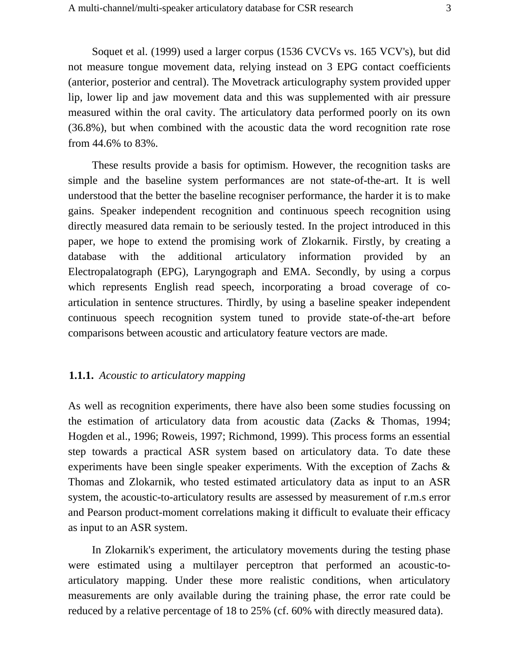Soquet et al. (1999) used a larger corpus (1536 CVCVs vs. 165 VCV's), but did not measure tongue movement data, relying instead on 3 EPG contact coefficients (anterior, posterior and central). The Movetrack articulography system provided upper lip, lower lip and jaw movement data and this was supplemented with air pressure measured within the oral cavity. The articulatory data performed poorly on its own (36.8%), but when combined with the acoustic data the word recognition rate rose from 44.6% to 83%.

These results provide a basis for optimism. However, the recognition tasks are simple and the baseline system performances are not state-of-the-art. It is well understood that the better the baseline recogniser performance, the harder it is to make gains. Speaker independent recognition and continuous speech recognition using directly measured data remain to be seriously tested. In the project introduced in this paper, we hope to extend the promising work of Zlokarnik. Firstly, by creating a database with the additional articulatory information provided by an Electropalatograph (EPG), Laryngograph and EMA. Secondly, by using a corpus which represents English read speech, incorporating a broad coverage of coarticulation in sentence structures. Thirdly, by using a baseline speaker independent continuous speech recognition system tuned to provide state-of-the-art before comparisons between acoustic and articulatory feature vectors are made.

#### **1.1.1.** *Acoustic to articulatory mapping*

As well as recognition experiments, there have also been some studies focussing on the estimation of articulatory data from acoustic data (Zacks & Thomas, 1994; Hogden et al., 1996; Roweis, 1997; Richmond, 1999). This process forms an essential step towards a practical ASR system based on articulatory data. To date these experiments have been single speaker experiments. With the exception of Zachs & Thomas and Zlokarnik, who tested estimated articulatory data as input to an ASR system, the acoustic-to-articulatory results are assessed by measurement of r.m.s error and Pearson product-moment correlations making it difficult to evaluate their efficacy as input to an ASR system.

In Zlokarnik's experiment, the articulatory movements during the testing phase were estimated using a multilayer perceptron that performed an acoustic-toarticulatory mapping. Under these more realistic conditions, when articulatory measurements are only available during the training phase, the error rate could be reduced by a relative percentage of 18 to 25% (cf. 60% with directly measured data).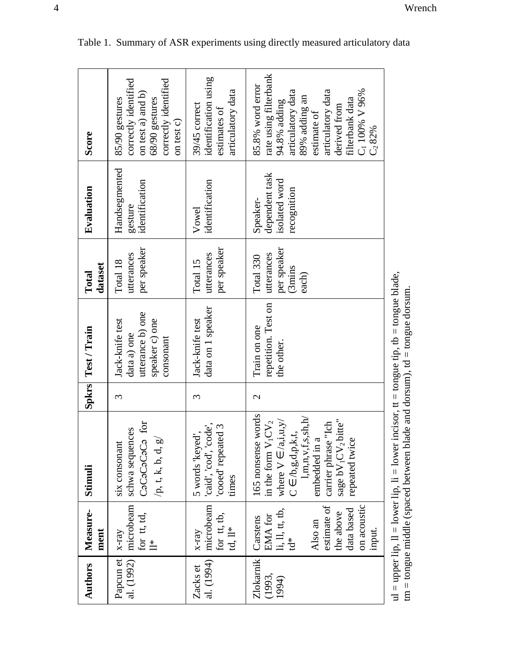| Score              | correctly identified<br>correctly identified<br>on test a) and b)<br>68/90 gestures<br>85/90 gestures<br>on test c) | identification using<br>articulatory data<br>39/45 correct<br>estimates of | rate using filterbank<br>85.8% word error<br>articulatory data<br>articulatory data<br>$C_1$ 100% V 96%<br>89% adding an<br>filterbank data<br>94.8% adding<br>derived from<br>estimate of<br>$C_2 82%$                                           |                                                                                                                                                                            |
|--------------------|---------------------------------------------------------------------------------------------------------------------|----------------------------------------------------------------------------|---------------------------------------------------------------------------------------------------------------------------------------------------------------------------------------------------------------------------------------------------|----------------------------------------------------------------------------------------------------------------------------------------------------------------------------|
| Evaluation         | Handsegmented<br>identification<br>gesture                                                                          | identification<br>Vowel                                                    | dependent task<br>isolated word<br>recognition<br>Speaker-                                                                                                                                                                                        |                                                                                                                                                                            |
| dataset<br>Total   | per speaker<br>utterances<br>Total 18                                                                               | per speaker<br>utterances<br>Total 15                                      | per speaker<br>utterances<br>Total 330<br>(3 <sub>min</sub> )<br>each)                                                                                                                                                                            |                                                                                                                                                                            |
| Spkrs Test / Train | utterance b) one<br>speaker c) one<br>Jack-knife test<br>data a) one<br>consonant                                   | data on 1 speaker<br>Jack-knife test                                       | repetition. Test on<br>Train on one<br>the other.                                                                                                                                                                                                 |                                                                                                                                                                            |
|                    | 3                                                                                                                   | 3                                                                          | $\mathbf{C}$                                                                                                                                                                                                                                      |                                                                                                                                                                            |
| Stimuli            | CaCaCaCaCa for<br>schwa sequences<br>$/p$ , t, k, b, d, g/<br>six consonant                                         | 'caid', 'cod', 'code',<br>'cooed' repeated 3<br>5 words 'keyed',<br>times  | 165 nonsense words<br>1,m,n,v,f,s,sh,h'<br>sage bV <sub>1</sub> CV <sub>2</sub> bitte"<br>where $V \in \langle a,i,u,y \rangle$<br>in the form $V_1CV_2$<br>carrier phrase "Ich<br>$C \in /b, g, d, p, k, t$ ,<br>embedded in a<br>repeated twice | ul = upper lip, ll = lower lip, li = lower incisor, tt = tongue tip, tb = tongue blade,<br>$\tan$ = tongue middle (spaced between blade and dorsum), $td$ = tongue dorsum. |
| Measure-<br>ment   | microbeam<br>for tt, td,<br>$X$ -ray<br>$\stackrel{*}{=}$                                                           | microbeam<br>for tt, tb,<br>$td, ll^*$<br>$X$ -ray                         | estimate of<br>on acoustic<br>$\mathbf{li}, \mathbf{ll}, \mathbf{tt}, \mathbf{tb},$<br>data based<br>the above<br>EMA for<br>Carstens<br>Also an<br>input.<br>$\tilde{D}^*$                                                                       |                                                                                                                                                                            |
| <b>Authors</b>     | al. (1992)<br>Papcun et                                                                                             | al. (1994)<br>Zacks et                                                     | Zlokarnik<br>(1993,<br>1994)                                                                                                                                                                                                                      |                                                                                                                                                                            |

| Table 1. Summary of ASR experiments using directly measured articulatory data |  |  |  |
|-------------------------------------------------------------------------------|--|--|--|
|                                                                               |  |  |  |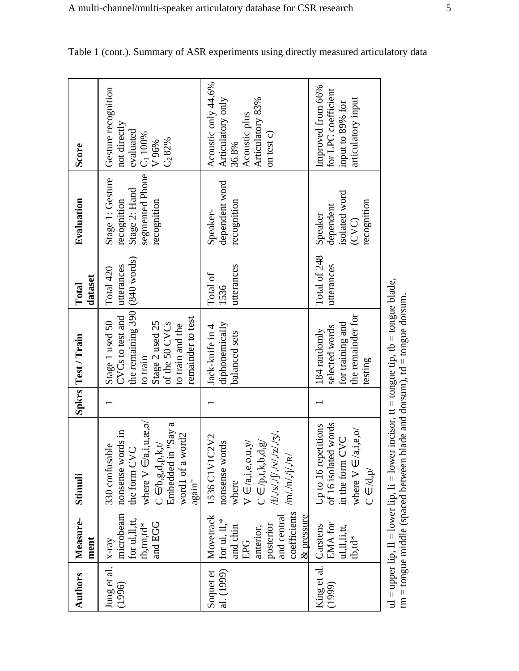| <b>Authors</b>                 | Measure-<br>ment                                                                                                       | Stimuli                                                                                                                                                                                                                                                           | Spkrs Test / Train                                                                                                                                                       | dataset<br>Total               | Evaluation                                                                                               | Score                                                                                                |
|--------------------------------|------------------------------------------------------------------------------------------------------------------------|-------------------------------------------------------------------------------------------------------------------------------------------------------------------------------------------------------------------------------------------------------------------|--------------------------------------------------------------------------------------------------------------------------------------------------------------------------|--------------------------------|----------------------------------------------------------------------------------------------------------|------------------------------------------------------------------------------------------------------|
| Jung et al.<br>(1996)          | microbeam<br>for ul, ll, tt,<br>and EGG<br>$tb,tm,td*$<br>$x-ray$                                                      | where $V \in \langle a, i, u, \mathcal{X}, \exists \rangle$<br>Embedded in "Say a<br>nonsense words in<br>word1 of a word2<br>the form CVC<br>$C\in\!/\!b,g,d,p,k,t\!/$<br>330 confusable<br>$\frac{a \text{gain}''}{a}$                                          | the remaining $390 (840 \text{ words})$<br>CVCs to test and<br>remainder to test<br>Stage 2 used 25<br>of the 50 CVCs<br>Stage 1 used 50<br>to train and the<br>to train | utterances<br>Total 420        | segmented Phone   C <sub>1</sub> 100%<br>Stage 1: Gesture<br>Stage 2: Hand<br>recognition<br>recognition | Gesture recognition<br>not directly<br>evaluated<br>$C_2 82%$<br>V 96%                               |
| al. (1999)<br>Soquet et        | coefficients<br>Movetrack<br>for ul, ll,*<br>posterior<br>and central<br>$\&$ pressure<br>and chin<br>anterior,<br>EPG | $\label{eq:2} \langle f/f, \langle s/ \sqrt{g} / \sqrt{g} / \sqrt{g} / \sqrt{g} \rangle,$<br>1536 C1V1C2V2<br>nonsense words<br>$C \in /p, t, k, b, d, g'$<br>$V \in \langle a,i,e,o,u,y \rangle$<br>$\langle m\rangle,\!n\rangle,\!j\rangle,\!j\rangle$<br>where | diphonemically<br>Jack-knife in 4<br>balanced sets                                                                                                                       | utterances<br>Total of<br>1536 | dependent word<br>recognition<br>Speaker-                                                                | Acoustic only 44.6%<br>Articulatory 83%<br>Articulatory only<br>Acoustic plus<br>on test c)<br>36.8% |
| King et al. Carstens<br>(1999) | <b>EMA</b> for<br>ul, ll, li, tt,<br>$tb,td*$                                                                          | of 16 isolated words<br>in the form CVC<br>Up to 16 repetitions<br>where $V \in \langle a,i,e,o \rangle$<br>$C \in /d, p/$                                                                                                                                        | the remainder for<br>for training and<br>selected words<br>184 randomly<br>testing                                                                                       | Total of 248<br>utterances     | isolated word<br>recognition<br>dependent<br>Speaker<br>(CVC)                                            | Improved from 66%<br>for LPC coefficient<br>articulatory input<br>input to 89% for                   |
|                                | $tm = tom$ gue middle (spaced between)                                                                                 | ul = upper lip, $ll$ = lower lip, $li$ = lower incisor, $tt$ = tongue tip, $tb$ = tongue blade,                                                                                                                                                                   | blade and dorsum), $td = tongue$ dorsum.                                                                                                                                 |                                |                                                                                                          |                                                                                                      |

Table 1 (cont.). Summary of ASR experiments using directly measured articulatory data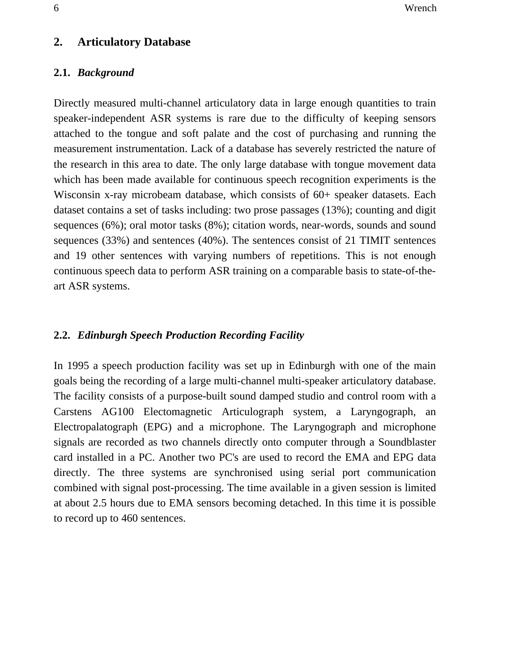### **2. Articulatory Database**

#### **2.1.** *Background*

Directly measured multi-channel articulatory data in large enough quantities to train speaker-independent ASR systems is rare due to the difficulty of keeping sensors attached to the tongue and soft palate and the cost of purchasing and running the measurement instrumentation. Lack of a database has severely restricted the nature of the research in this area to date. The only large database with tongue movement data which has been made available for continuous speech recognition experiments is the Wisconsin x-ray microbeam database, which consists of 60+ speaker datasets. Each dataset contains a set of tasks including: two prose passages (13%); counting and digit sequences (6%); oral motor tasks (8%); citation words, near-words, sounds and sound sequences (33%) and sentences (40%). The sentences consist of 21 TIMIT sentences and 19 other sentences with varying numbers of repetitions. This is not enough continuous speech data to perform ASR training on a comparable basis to state-of-theart ASR systems.

#### **2.2.** *Edinburgh Speech Production Recording Facility*

In 1995 a speech production facility was set up in Edinburgh with one of the main goals being the recording of a large multi-channel multi-speaker articulatory database. The facility consists of a purpose-built sound damped studio and control room with a Carstens AG100 Electomagnetic Articulograph system, a Laryngograph, an Electropalatograph (EPG) and a microphone. The Laryngograph and microphone signals are recorded as two channels directly onto computer through a Soundblaster card installed in a PC. Another two PC's are used to record the EMA and EPG data directly. The three systems are synchronised using serial port communication combined with signal post-processing. The time available in a given session is limited at about 2.5 hours due to EMA sensors becoming detached. In this time it is possible to record up to 460 sentences.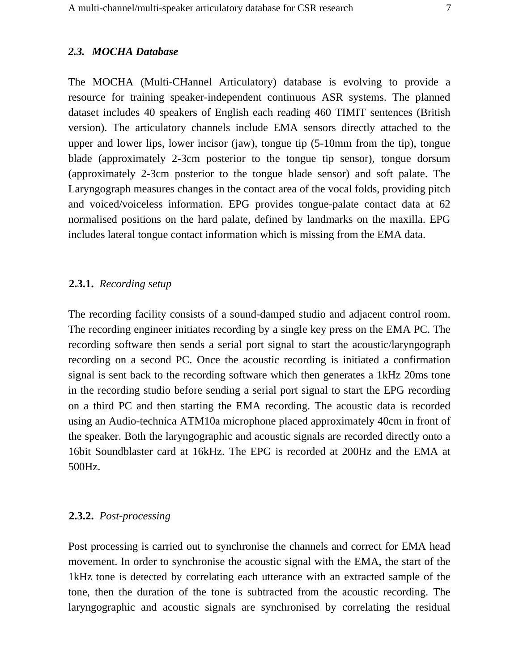The MOCHA (Multi-CHannel Articulatory) database is evolving to provide a resource for training speaker-independent continuous ASR systems. The planned dataset includes 40 speakers of English each reading 460 TIMIT sentences (British version). The articulatory channels include EMA sensors directly attached to the upper and lower lips, lower incisor (jaw), tongue tip (5-10mm from the tip), tongue blade (approximately 2-3cm posterior to the tongue tip sensor), tongue dorsum (approximately 2-3cm posterior to the tongue blade sensor) and soft palate. The Laryngograph measures changes in the contact area of the vocal folds, providing pitch and voiced/voiceless information. EPG provides tongue-palate contact data at 62 normalised positions on the hard palate, defined by landmarks on the maxilla. EPG includes lateral tongue contact information which is missing from the EMA data.

#### **2.3.1.** *Recording setup*

The recording facility consists of a sound-damped studio and adjacent control room. The recording engineer initiates recording by a single key press on the EMA PC. The recording software then sends a serial port signal to start the acoustic/laryngograph recording on a second PC. Once the acoustic recording is initiated a confirmation signal is sent back to the recording software which then generates a 1kHz 20ms tone in the recording studio before sending a serial port signal to start the EPG recording on a third PC and then starting the EMA recording. The acoustic data is recorded using an Audio-technica ATM10a microphone placed approximately 40cm in front of the speaker. Both the laryngographic and acoustic signals are recorded directly onto a 16bit Soundblaster card at 16kHz. The EPG is recorded at 200Hz and the EMA at 500Hz.

#### **2.3.2.** *Post-processing*

Post processing is carried out to synchronise the channels and correct for EMA head movement. In order to synchronise the acoustic signal with the EMA, the start of the 1kHz tone is detected by correlating each utterance with an extracted sample of the tone, then the duration of the tone is subtracted from the acoustic recording. The laryngographic and acoustic signals are synchronised by correlating the residual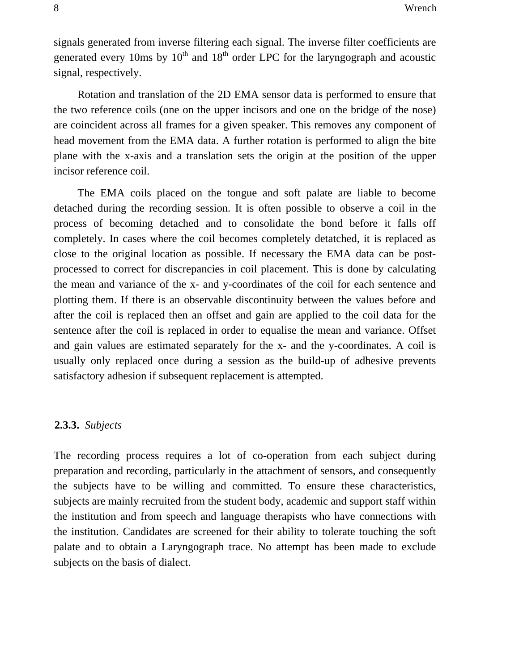signals generated from inverse filtering each signal. The inverse filter coefficients are generated every 10ms by  $10^{th}$  and  $18^{th}$  order LPC for the laryngograph and acoustic signal, respectively.

Rotation and translation of the 2D EMA sensor data is performed to ensure that the two reference coils (one on the upper incisors and one on the bridge of the nose) are coincident across all frames for a given speaker. This removes any component of head movement from the EMA data. A further rotation is performed to align the bite plane with the x-axis and a translation sets the origin at the position of the upper incisor reference coil.

The EMA coils placed on the tongue and soft palate are liable to become detached during the recording session. It is often possible to observe a coil in the process of becoming detached and to consolidate the bond before it falls off completely. In cases where the coil becomes completely detatched, it is replaced as close to the original location as possible. If necessary the EMA data can be postprocessed to correct for discrepancies in coil placement. This is done by calculating the mean and variance of the x- and y-coordinates of the coil for each sentence and plotting them. If there is an observable discontinuity between the values before and after the coil is replaced then an offset and gain are applied to the coil data for the sentence after the coil is replaced in order to equalise the mean and variance. Offset and gain values are estimated separately for the x- and the y-coordinates. A coil is usually only replaced once during a session as the build-up of adhesive prevents satisfactory adhesion if subsequent replacement is attempted.

#### **2.3.3.** *Subjects*

The recording process requires a lot of co-operation from each subject during preparation and recording, particularly in the attachment of sensors, and consequently the subjects have to be willing and committed. To ensure these characteristics, subjects are mainly recruited from the student body, academic and support staff within the institution and from speech and language therapists who have connections with the institution. Candidates are screened for their ability to tolerate touching the soft palate and to obtain a Laryngograph trace. No attempt has been made to exclude subjects on the basis of dialect.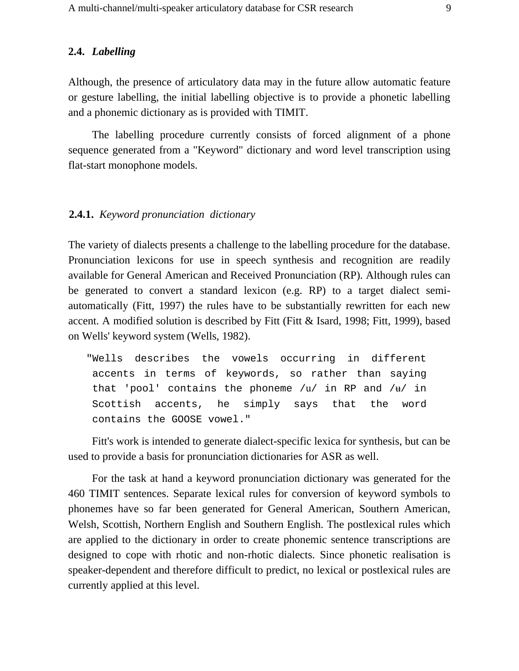#### **2.4.** *Labelling*

Although, the presence of articulatory data may in the future allow automatic feature or gesture labelling, the initial labelling objective is to provide a phonetic labelling and a phonemic dictionary as is provided with TIMIT.

The labelling procedure currently consists of forced alignment of a phone sequence generated from a "Keyword" dictionary and word level transcription using flat-start monophone models.

#### **2.4.1.** *Keyword pronunciation dictionary*

The variety of dialects presents a challenge to the labelling procedure for the database. Pronunciation lexicons for use in speech synthesis and recognition are readily available for General American and Received Pronunciation (RP). Although rules can be generated to convert a standard lexicon (e.g. RP) to a target dialect semiautomatically (Fitt, 1997) the rules have to be substantially rewritten for each new accent. A modified solution is described by Fitt (Fitt & Isard, 1998; Fitt, 1999), based on Wells' keyword system (Wells, 1982).

"Wells describes the vowels occurring in different accents in terms of keywords, so rather than saying that 'pool' contains the phoneme /u/ in RP and / $\text{H}/$  in Scottish accents, he simply says that the word contains the GOOSE vowel."

Fitt's work is intended to generate dialect-specific lexica for synthesis, but can be used to provide a basis for pronunciation dictionaries for ASR as well.

For the task at hand a keyword pronunciation dictionary was generated for the 460 TIMIT sentences. Separate lexical rules for conversion of keyword symbols to phonemes have so far been generated for General American, Southern American, Welsh, Scottish, Northern English and Southern English. The postlexical rules which are applied to the dictionary in order to create phonemic sentence transcriptions are designed to cope with rhotic and non-rhotic dialects. Since phonetic realisation is speaker-dependent and therefore difficult to predict, no lexical or postlexical rules are currently applied at this level.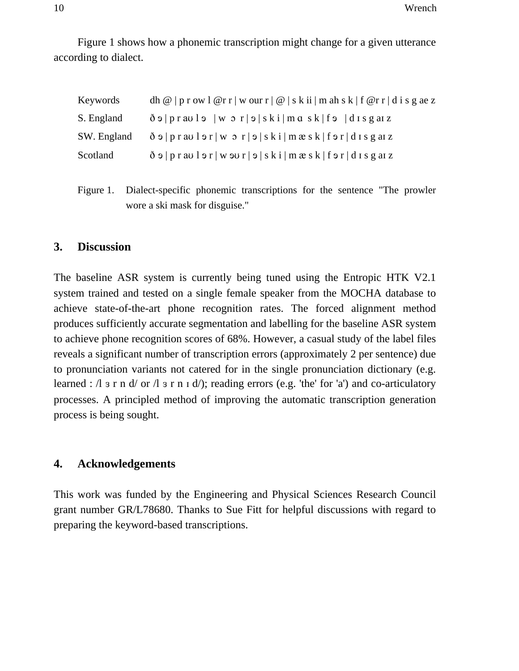Figure 1 shows how a phonemic transcription might change for a given utterance according to dialect.

| Keywords    | dh $@$   p r ow 1 $@$ r r   w our r   $@$   s k ii   m ah s k   f $@$ r r   d i s g ae z                                        |
|-------------|---------------------------------------------------------------------------------------------------------------------------------|
| S. England  | $\delta$ $\Theta$   praul $\Theta$   w $\Omega$ r  $\Theta$   ski  m q sk  f $\Theta$   d I s g al z                            |
| SW. England | $\delta$ $\Theta$   p r av l $\Theta$ r   w $\Omega$ r   $\Theta$   s k i   m $\mathcal{R}$ s k   f $\Theta$ r   d I s g at z   |
| Scotland    | $\delta$ $\Theta$   p r av l $\Theta$ r   w $\Theta$ v r   $\Theta$   s k i   m $\mathcal{R}$ s k   f $\Theta$ r   d I s g at z |

Figure 1. Dialect-specific phonemic transcriptions for the sentence "The prowler wore a ski mask for disguise."

### **3. Discussion**

The baseline ASR system is currently being tuned using the Entropic HTK V2.1 system trained and tested on a single female speaker from the MOCHA database to achieve state-of-the-art phone recognition rates. The forced alignment method produces sufficiently accurate segmentation and labelling for the baseline ASR system to achieve phone recognition scores of 68%. However, a casual study of the label files reveals a significant number of transcription errors (approximately 2 per sentence) due to pronunciation variants not catered for in the single pronunciation dictionary (e.g. learned :  $\Lambda$  s r n d/ or  $\Lambda$  s r n i d/); reading errors (e.g. 'the' for 'a') and co-articulatory processes. A principled method of improving the automatic transcription generation process is being sought.

### **4. Acknowledgements**

This work was funded by the Engineering and Physical Sciences Research Council grant number GR/L78680. Thanks to Sue Fitt for helpful discussions with regard to preparing the keyword-based transcriptions.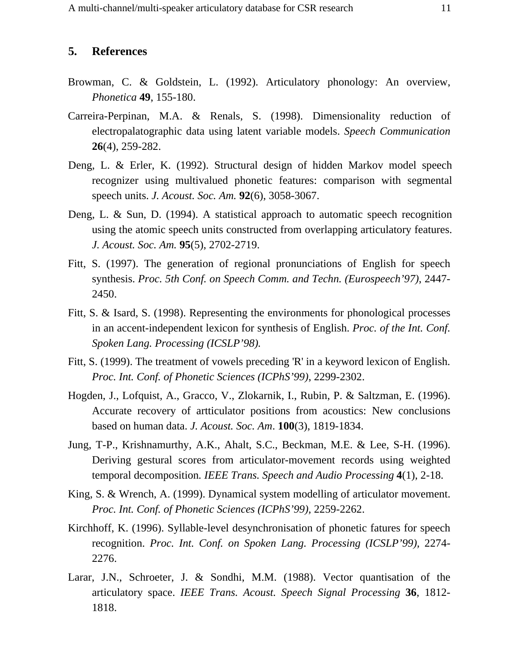### **5. References**

- Browman, C. & Goldstein, L. (1992). Articulatory phonology: An overview, *Phonetica* **49**, 155-180.
- Carreira-Perpinan, M.A. & Renals, S. (1998). Dimensionality reduction of electropalatographic data using latent variable models. *Speech Communication* **26**(4), 259-282.
- Deng, L. & Erler, K. (1992). Structural design of hidden Markov model speech recognizer using multivalued phonetic features: comparison with segmental speech units. *J. Acoust. Soc. Am.* **92**(6), 3058-3067.
- Deng, L. & Sun, D. (1994). A statistical approach to automatic speech recognition using the atomic speech units constructed from overlapping articulatory features. *J. Acoust. Soc. Am.* **95**(5), 2702-2719.
- Fitt, S. (1997). The generation of regional pronunciations of English for speech synthesis. *Proc. 5th Conf. on Speech Comm. and Techn. (Eurospeech'97)*, 2447- 2450.
- Fitt, S. & Isard, S. (1998). Representing the environments for phonological processes in an accent-independent lexicon for synthesis of English. *Proc. of the Int. Conf. Spoken Lang. Processing (ICSLP'98).*
- Fitt, S. (1999). The treatment of vowels preceding 'R' in a keyword lexicon of English*. Proc. Int. Conf. of Phonetic Sciences (ICPhS'99)*, 2299-2302.
- Hogden, J., Lofquist, A., Gracco, V., Zlokarnik, I., Rubin, P. & Saltzman, E. (1996). Accurate recovery of artticulator positions from acoustics: New conclusions based on human data. *J. Acoust. Soc. Am*. **100**(3), 1819-1834.
- Jung, T-P., Krishnamurthy, A.K., Ahalt, S.C., Beckman, M.E. & Lee, S-H. (1996). Deriving gestural scores from articulator-movement records using weighted temporal decomposition*. IEEE Trans. Speech and Audio Processing* **4**(1), 2-18.
- King, S. & Wrench, A. (1999). Dynamical system modelling of articulator movement. *Proc. Int. Conf. of Phonetic Sciences (ICPhS'99),* 2259-2262.
- Kirchhoff, K. (1996). Syllable-level desynchronisation of phonetic fatures for speech recognition. *Proc. Int. Conf. on Spoken Lang. Processing (ICSLP'99),* 2274- 2276.
- Larar, J.N., Schroeter, J. & Sondhi, M.M. (1988). Vector quantisation of the articulatory space. *IEEE Trans. Acoust. Speech Signal Processing* **36**, 1812- 1818.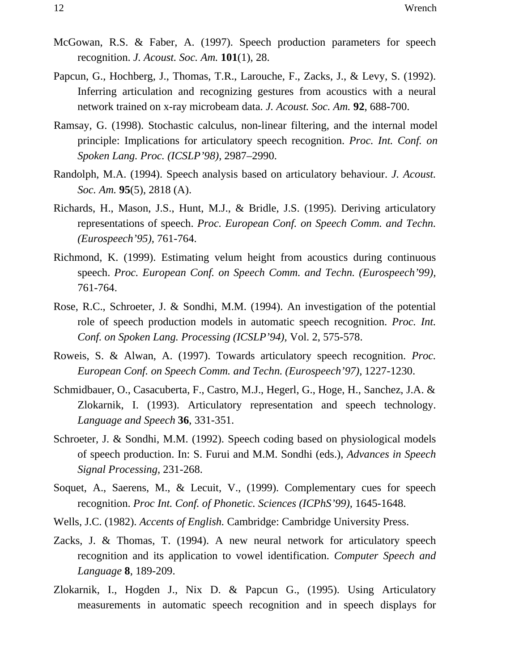- McGowan, R.S. & Faber, A. (1997). Speech production parameters for speech recognition. *J. Acoust. Soc. Am.* **101**(1), 28.
- Papcun, G., Hochberg, J., Thomas, T.R., Larouche, F., Zacks, J., & Levy, S. (1992). Inferring articulation and recognizing gestures from acoustics with a neural network trained on x-ray microbeam data. *J. Acoust. Soc. Am.* **92**, 688-700.
- Ramsay, G. (1998). Stochastic calculus, non-linear filtering, and the internal model principle: Implications for articulatory speech recognition. *Proc. Int. Conf. on Spoken Lang. Proc. (ICSLP'98),* 2987–2990.
- Randolph, M.A. (1994). Speech analysis based on articulatory behaviour. *J. Acoust. Soc. Am.* **95**(5), 2818 (A).
- Richards, H., Mason, J.S., Hunt, M.J., & Bridle, J.S. (1995). Deriving articulatory representations of speech. *Proc. European Conf. on Speech Comm. and Techn. (Eurospeech'95),* 761-764.
- Richmond, K. (1999). Estimating velum height from acoustics during continuous speech. *Proc. European Conf. on Speech Comm. and Techn. (Eurospeech'99),* 761-764.
- Rose, R.C., Schroeter, J. & Sondhi, M.M. (1994). An investigation of the potential role of speech production models in automatic speech recognition. *Proc. Int. Conf. on Spoken Lang. Processing (ICSLP'94),* Vol. 2, 575-578.
- Roweis, S. & Alwan, A. (1997). Towards articulatory speech recognition. *Proc. European Conf. on Speech Comm. and Techn. (Eurospeech'97),* 1227-1230.
- Schmidbauer, O., Casacuberta, F., Castro, M.J., Hegerl, G., Hoge, H., Sanchez, J.A. & Zlokarnik, I. (1993). Articulatory representation and speech technology. *Language and Speech* **36**, 331-351.
- Schroeter, J. & Sondhi, M.M. (1992). Speech coding based on physiological models of speech production. In: S. Furui and M.M. Sondhi (eds.), *Advances in Speech Signal Processing*, 231-268.
- Soquet, A., Saerens, M., & Lecuit, V., (1999). Complementary cues for speech recognition. *Proc Int. Conf. of Phonetic. Sciences (ICPhS'99),* 1645-1648.
- Wells, J.C. (1982). *Accents of English.* Cambridge: Cambridge University Press.
- Zacks, J. & Thomas, T. (1994). A new neural network for articulatory speech recognition and its application to vowel identification. *Computer Speech and Language* **8**, 189-209.
- Zlokarnik, I., Hogden J., Nix D. & Papcun G., (1995). Using Articulatory measurements in automatic speech recognition and in speech displays for